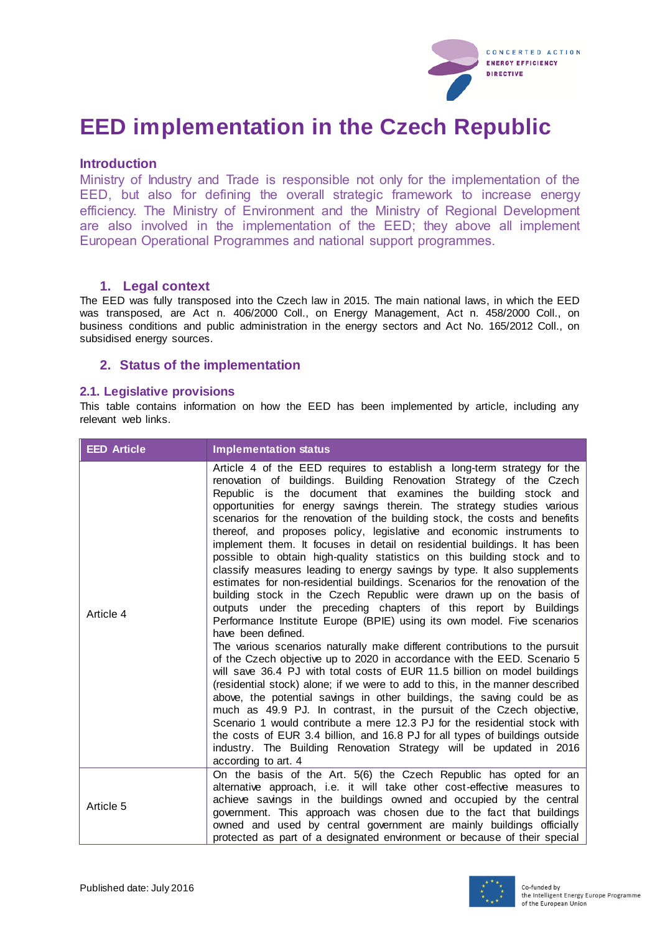

# **EED implementation in the Czech Republic**

## **Introduction**

Ministry of Industry and Trade is responsible not only for the implementation of the EED, but also for defining the overall strategic framework to increase energy efficiency. The Ministry of Environment and the Ministry of Regional Development are also involved in the implementation of the EED; they above all implement European Operational Programmes and national support programmes.

### **1. Legal context**

The EED was fully transposed into the Czech law in 2015. The main national laws, in which the EED was transposed, are Act n. 406/2000 Coll., on Energy Management, Act n. 458/2000 Coll., on business conditions and public administration in the energy sectors and Act No. 165/2012 Coll., on subsidised energy sources.

## **2. Status of the implementation**

#### **2.1. Legislative provisions**

This table contains information on how the EED has been implemented by article, including any relevant web links.

| <b>EED Article</b> | <b>Implementation status</b>                                                                                                                                                                                                                                                                                                                                                                                                                                                                                                                                                                                                                                                                                                                                                                                                                                                                                                                                                                                                                                                                                                                                                                                                                                                                                                                                                                                                                                                                                                                                                                                                                                                                                                                           |
|--------------------|--------------------------------------------------------------------------------------------------------------------------------------------------------------------------------------------------------------------------------------------------------------------------------------------------------------------------------------------------------------------------------------------------------------------------------------------------------------------------------------------------------------------------------------------------------------------------------------------------------------------------------------------------------------------------------------------------------------------------------------------------------------------------------------------------------------------------------------------------------------------------------------------------------------------------------------------------------------------------------------------------------------------------------------------------------------------------------------------------------------------------------------------------------------------------------------------------------------------------------------------------------------------------------------------------------------------------------------------------------------------------------------------------------------------------------------------------------------------------------------------------------------------------------------------------------------------------------------------------------------------------------------------------------------------------------------------------------------------------------------------------------|
| Article 4          | Article 4 of the EED requires to establish a long-term strategy for the<br>renovation of buildings. Building Renovation Strategy of the Czech<br>Republic is the document that examines the building stock and<br>opportunities for energy savings therein. The strategy studies various<br>scenarios for the renovation of the building stock, the costs and benefits<br>thereof, and proposes policy, legislative and economic instruments to<br>implement them. It focuses in detail on residential buildings. It has been<br>possible to obtain high-quality statistics on this building stock and to<br>classify measures leading to energy savings by type. It also supplements<br>estimates for non-residential buildings. Scenarios for the renovation of the<br>building stock in the Czech Republic were drawn up on the basis of<br>outputs under the preceding chapters of this report by Buildings<br>Performance Institute Europe (BPIE) using its own model. Five scenarios<br>have been defined.<br>The various scenarios naturally make different contributions to the pursuit<br>of the Czech objective up to 2020 in accordance with the EED. Scenario 5<br>will save 36.4 PJ with total costs of EUR 11.5 billion on model buildings<br>(residential stock) alone; if we were to add to this, in the manner described<br>above, the potential savings in other buildings, the saving could be as<br>much as 49.9 PJ. In contrast, in the pursuit of the Czech objective,<br>Scenario 1 would contribute a mere 12.3 PJ for the residential stock with<br>the costs of EUR 3.4 billion, and 16.8 PJ for all types of buildings outside<br>industry. The Building Renovation Strategy will be updated in 2016<br>according to art. 4 |
| Article 5          | On the basis of the Art. 5(6) the Czech Republic has opted for an<br>alternative approach, i.e. it will take other cost-effective measures to<br>achieve savings in the buildings owned and occupied by the central<br>government. This approach was chosen due to the fact that buildings<br>owned and used by central government are mainly buildings officially<br>protected as part of a designated environment or because of their special                                                                                                                                                                                                                                                                                                                                                                                                                                                                                                                                                                                                                                                                                                                                                                                                                                                                                                                                                                                                                                                                                                                                                                                                                                                                                                        |

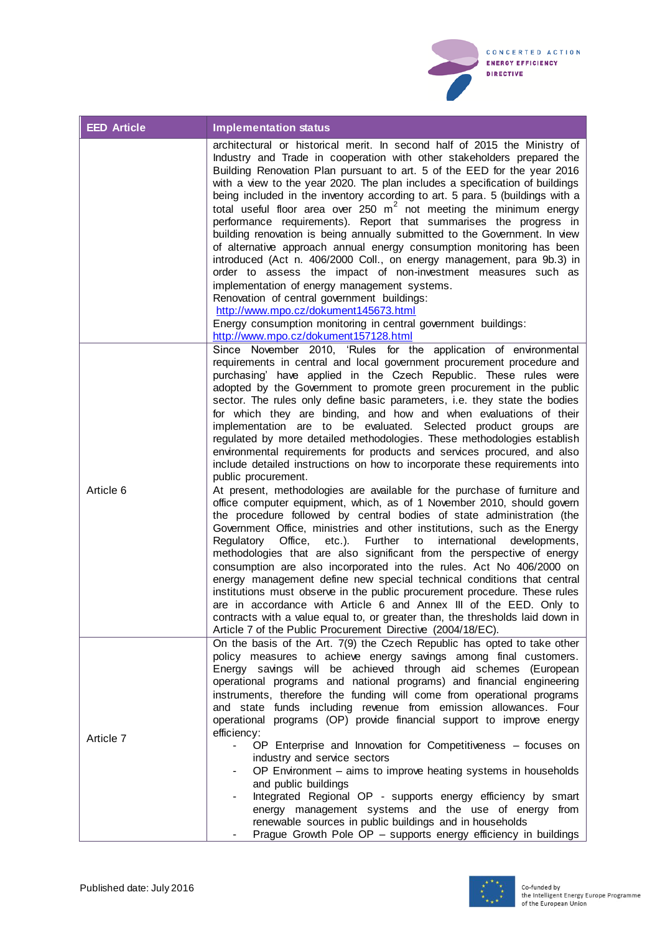

| <b>EED Article</b> | <b>Implementation status</b>                                                                                                                                                                                                                                                                                                                                                                                                                                                                                                                                                                                                                                                                                                                                                                                                                                                                                                                                                                                                                                                                                                                                                                                                                                                                                                                                                                                                                                                                                                                                                                                                                                                                         |
|--------------------|------------------------------------------------------------------------------------------------------------------------------------------------------------------------------------------------------------------------------------------------------------------------------------------------------------------------------------------------------------------------------------------------------------------------------------------------------------------------------------------------------------------------------------------------------------------------------------------------------------------------------------------------------------------------------------------------------------------------------------------------------------------------------------------------------------------------------------------------------------------------------------------------------------------------------------------------------------------------------------------------------------------------------------------------------------------------------------------------------------------------------------------------------------------------------------------------------------------------------------------------------------------------------------------------------------------------------------------------------------------------------------------------------------------------------------------------------------------------------------------------------------------------------------------------------------------------------------------------------------------------------------------------------------------------------------------------------|
|                    | architectural or historical merit. In second half of 2015 the Ministry of<br>Industry and Trade in cooperation with other stakeholders prepared the<br>Building Renovation Plan pursuant to art. 5 of the EED for the year 2016<br>with a view to the year 2020. The plan includes a specification of buildings<br>being included in the inventory according to art. 5 para. 5 (buildings with a<br>total useful floor area over 250 $m^2$ not meeting the minimum energy<br>performance requirements). Report that summarises the progress in<br>building renovation is being annually submitted to the Government. In view<br>of alternative approach annual energy consumption monitoring has been<br>introduced (Act n. 406/2000 Coll., on energy management, para 9b.3) in<br>order to assess the impact of non-investment measures such as<br>implementation of energy management systems.<br>Renovation of central government buildings:<br>http://www.mpo.cz/dokument145673.html<br>Energy consumption monitoring in central government buildings:<br>http://www.mpo.cz/dokument157128.html                                                                                                                                                                                                                                                                                                                                                                                                                                                                                                                                                                                                  |
| Article 6          | Since November 2010, 'Rules for the application of environmental<br>requirements in central and local government procurement procedure and<br>purchasing' have applied in the Czech Republic. These rules were<br>adopted by the Government to promote green procurement in the public<br>sector. The rules only define basic parameters, i.e. they state the bodies<br>for which they are binding, and how and when evaluations of their<br>implementation are to be evaluated. Selected product groups are<br>regulated by more detailed methodologies. These methodologies establish<br>environmental requirements for products and services procured, and also<br>include detailed instructions on how to incorporate these requirements into<br>public procurement.<br>At present, methodologies are available for the purchase of furniture and<br>office computer equipment, which, as of 1 November 2010, should govern<br>the procedure followed by central bodies of state administration (the<br>Government Office, ministries and other institutions, such as the Energy<br>Regulatory Office,<br>Further to<br>etc.).<br>international<br>developments,<br>methodologies that are also significant from the perspective of energy<br>consumption are also incorporated into the rules. Act No 406/2000 on<br>energy management define new special technical conditions that central<br>institutions must observe in the public procurement procedure. These rules<br>are in accordance with Article 6 and Annex III of the EED. Only to<br>contracts with a value equal to, or greater than, the thresholds laid down in<br>Article 7 of the Public Procurement Directive (2004/18/EC). |
| Article 7          | On the basis of the Art. 7(9) the Czech Republic has opted to take other<br>policy measures to achieve energy savings among final customers.<br>Energy savings will be achieved through aid schemes (European<br>operational programs and national programs) and financial engineering<br>instruments, therefore the funding will come from operational programs<br>and state funds including revenue from emission allowances. Four<br>operational programs (OP) provide financial support to improve energy<br>efficiency:<br>OP Enterprise and Innovation for Competitiveness - focuses on<br>$\blacksquare$<br>industry and service sectors<br>OP Environment - aims to improve heating systems in households<br>and public buildings<br>Integrated Regional OP - supports energy efficiency by smart<br>energy management systems and the use of energy from<br>renewable sources in public buildings and in households<br>Prague Growth Pole OP - supports energy efficiency in buildings                                                                                                                                                                                                                                                                                                                                                                                                                                                                                                                                                                                                                                                                                                      |

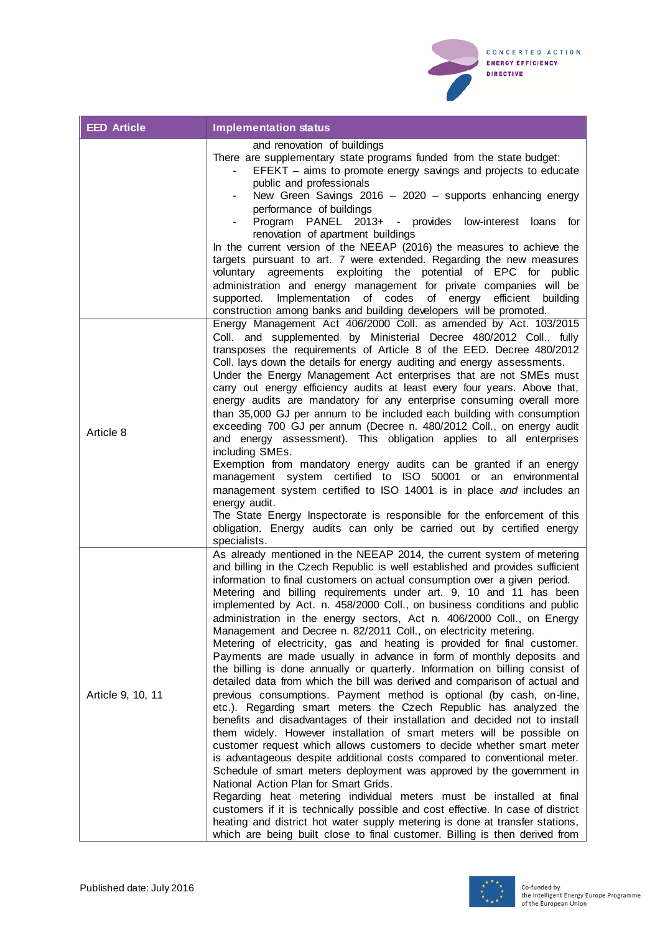

| <b>EED Article</b> | <b>Implementation status</b>                                                                                                                                                                                                                                                                                                                                                                                                                                                                                                                                                                                                                                                                                                                                                                                                                                                                                                                                                                                                                                                                                                                                                                                                                                                                                                                                                                                                                                                                                                                                                                                                                                                                                                                                 |
|--------------------|--------------------------------------------------------------------------------------------------------------------------------------------------------------------------------------------------------------------------------------------------------------------------------------------------------------------------------------------------------------------------------------------------------------------------------------------------------------------------------------------------------------------------------------------------------------------------------------------------------------------------------------------------------------------------------------------------------------------------------------------------------------------------------------------------------------------------------------------------------------------------------------------------------------------------------------------------------------------------------------------------------------------------------------------------------------------------------------------------------------------------------------------------------------------------------------------------------------------------------------------------------------------------------------------------------------------------------------------------------------------------------------------------------------------------------------------------------------------------------------------------------------------------------------------------------------------------------------------------------------------------------------------------------------------------------------------------------------------------------------------------------------|
|                    | and renovation of buildings<br>There are supplementary state programs funded from the state budget:<br>EFEKT - aims to promote energy savings and projects to educate<br>public and professionals<br>New Green Savings 2016 - 2020 - supports enhancing energy<br>performance of buildings<br>Program PANEL 2013+ - provides low-interest loans for<br>renovation of apartment buildings<br>In the current version of the NEEAP (2016) the measures to achieve the<br>targets pursuant to art. 7 were extended. Regarding the new measures<br>agreements exploiting the potential of EPC for public<br>voluntarv<br>administration and energy management for private companies will be<br>supported. Implementation of codes of energy efficient building<br>construction among banks and building developers will be promoted.                                                                                                                                                                                                                                                                                                                                                                                                                                                                                                                                                                                                                                                                                                                                                                                                                                                                                                                              |
| Article 8          | Energy Management Act 406/2000 Coll. as amended by Act. 103/2015<br>Coll. and supplemented by Ministerial Decree 480/2012 Coll., fully<br>transposes the requirements of Article 8 of the EED. Decree 480/2012<br>Coll. lays down the details for energy auditing and energy assessments.<br>Under the Energy Management Act enterprises that are not SMEs must<br>carry out energy efficiency audits at least every four years. Above that,<br>energy audits are mandatory for any enterprise consuming overall more<br>than 35,000 GJ per annum to be included each building with consumption<br>exceeding 700 GJ per annum (Decree n. 480/2012 Coll., on energy audit<br>and energy assessment). This obligation applies to all enterprises<br>including SMEs.<br>Exemption from mandatory energy audits can be granted if an energy<br>management system certified to ISO 50001 or an environmental<br>management system certified to ISO 14001 is in place and includes an<br>energy audit.<br>The State Energy Inspectorate is responsible for the enforcement of this<br>obligation. Energy audits can only be carried out by certified energy<br>specialists.                                                                                                                                                                                                                                                                                                                                                                                                                                                                                                                                                                                        |
| Article 9, 10, 11  | As already mentioned in the NEEAP 2014, the current system of metering<br>and billing in the Czech Republic is well established and provides sufficient<br>information to final customers on actual consumption over a given period.<br>Metering and billing requirements under art. 9, 10 and 11 has been<br>implemented by Act. n. 458/2000 Coll., on business conditions and public<br>administration in the energy sectors, Act n. 406/2000 Coll., on Energy<br>Management and Decree n. 82/2011 Coll., on electricity metering.<br>Metering of electricity, gas and heating is provided for final customer.<br>Payments are made usually in advance in form of monthly deposits and<br>the billing is done annually or quarterly. Information on billing consist of<br>detailed data from which the bill was derived and comparison of actual and<br>previous consumptions. Payment method is optional (by cash, on-line,<br>etc.). Regarding smart meters the Czech Republic has analyzed the<br>benefits and disadvantages of their installation and decided not to install<br>them widely. However installation of smart meters will be possible on<br>customer request which allows customers to decide whether smart meter<br>is advantageous despite additional costs compared to conventional meter.<br>Schedule of smart meters deployment was approved by the government in<br>National Action Plan for Smart Grids.<br>Regarding heat metering individual meters must be installed at final<br>customers if it is technically possible and cost effective. In case of district<br>heating and district hot water supply metering is done at transfer stations,<br>which are being built close to final customer. Billing is then derived from |

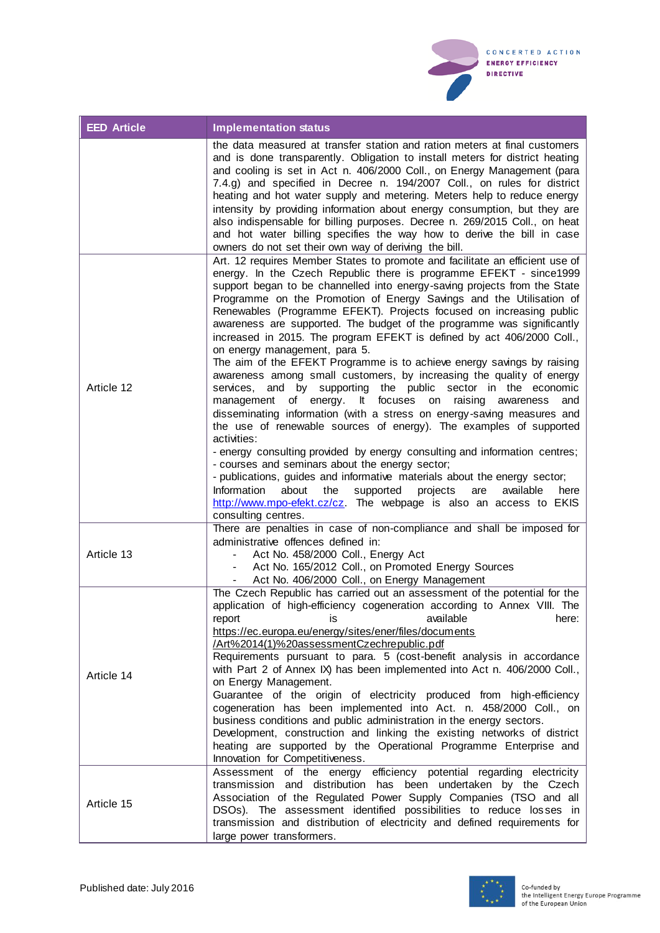

| <b>EED Article</b> | <b>Implementation status</b>                                                                                                                                                                                                                                                                                                                                                                                                                                                                                                                                                                                                                                                                                                                                                                                                                                                                                                                                                                                                                                                                                                                                                                                                                                                                                                                                                                                                |
|--------------------|-----------------------------------------------------------------------------------------------------------------------------------------------------------------------------------------------------------------------------------------------------------------------------------------------------------------------------------------------------------------------------------------------------------------------------------------------------------------------------------------------------------------------------------------------------------------------------------------------------------------------------------------------------------------------------------------------------------------------------------------------------------------------------------------------------------------------------------------------------------------------------------------------------------------------------------------------------------------------------------------------------------------------------------------------------------------------------------------------------------------------------------------------------------------------------------------------------------------------------------------------------------------------------------------------------------------------------------------------------------------------------------------------------------------------------|
|                    | the data measured at transfer station and ration meters at final customers<br>and is done transparently. Obligation to install meters for district heating<br>and cooling is set in Act n. 406/2000 Coll., on Energy Management (para<br>7.4.g) and specified in Decree n. 194/2007 Coll., on rules for district<br>heating and hot water supply and metering. Meters help to reduce energy<br>intensity by providing information about energy consumption, but they are<br>also indispensable for billing purposes. Decree n. 269/2015 Coll., on heat<br>and hot water billing specifies the way how to derive the bill in case<br>owners do not set their own way of deriving the bill.                                                                                                                                                                                                                                                                                                                                                                                                                                                                                                                                                                                                                                                                                                                                   |
| Article 12         | Art. 12 requires Member States to promote and facilitate an efficient use of<br>energy. In the Czech Republic there is programme EFEKT - since1999<br>support began to be channelled into energy-saving projects from the State<br>Programme on the Promotion of Energy Savings and the Utilisation of<br>Renewables (Programme EFEKT). Projects focused on increasing public<br>awareness are supported. The budget of the programme was significantly<br>increased in 2015. The program EFEKT is defined by act 406/2000 Coll.,<br>on energy management, para 5.<br>The aim of the EFEKT Programme is to achieve energy savings by raising<br>awareness among small customers, by increasing the quality of energy<br>services, and by supporting the public sector in the economic<br>of energy. It focuses<br>management<br>on<br>raising awareness<br>and<br>disseminating information (with a stress on energy-saving measures and<br>the use of renewable sources of energy). The examples of supported<br>activities:<br>- energy consulting provided by energy consulting and information centres;<br>- courses and seminars about the energy sector;<br>- publications, guides and informative materials about the energy sector;<br>Information<br>about<br>the<br>supported<br>projects<br>available<br>are<br>here<br>http://www.mpo-efekt.cz/cz. The webpage is also an access to EKIS<br>consulting centres. |
| Article 13         | There are penalties in case of non-compliance and shall be imposed for<br>administrative offences defined in:<br>Act No. 458/2000 Coll., Energy Act<br>Act No. 165/2012 Coll., on Promoted Energy Sources<br>Act No. 406/2000 Coll., on Energy Management                                                                                                                                                                                                                                                                                                                                                                                                                                                                                                                                                                                                                                                                                                                                                                                                                                                                                                                                                                                                                                                                                                                                                                   |
| Article 14         | The Czech Republic has carried out an assessment of the potential for the<br>application of high-efficiency cogeneration according to Annex VIII. The<br>available<br>report<br>here:<br>IS<br>https://ec.europa.eu/energy/sites/ener/files/documents<br>/Art%2014(1)%20assessmentCzechrepublic.pdf<br>Requirements pursuant to para. 5 (cost-benefit analysis in accordance<br>with Part 2 of Annex IX) has been implemented into Act n. 406/2000 Coll.,<br>on Energy Management.<br>Guarantee of the origin of electricity produced from high-efficiency<br>cogeneration has been implemented into Act. n. 458/2000 Coll., on<br>business conditions and public administration in the energy sectors.<br>Development, construction and linking the existing networks of district<br>heating are supported by the Operational Programme Enterprise and<br>Innovation for Competitiveness.                                                                                                                                                                                                                                                                                                                                                                                                                                                                                                                                  |
| Article 15         | Assessment of the energy efficiency potential regarding electricity<br>transmission and distribution has been undertaken by the Czech<br>Association of the Regulated Power Supply Companies (TSO and all<br>DSOs). The assessment identified possibilities to reduce losses in<br>transmission and distribution of electricity and defined requirements for<br>large power transformers.                                                                                                                                                                                                                                                                                                                                                                                                                                                                                                                                                                                                                                                                                                                                                                                                                                                                                                                                                                                                                                   |

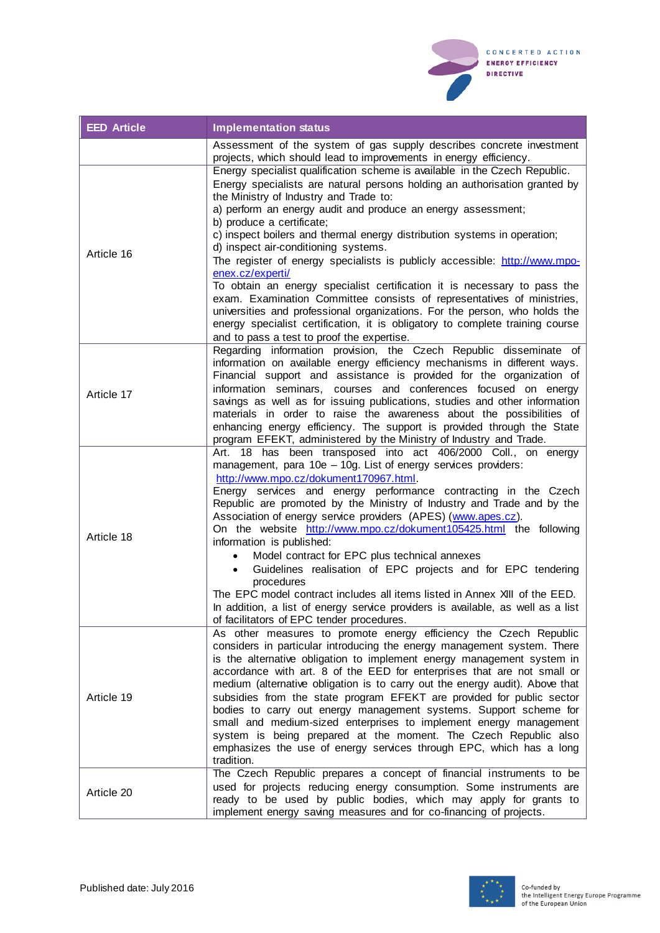

| <b>EED Article</b> | <b>Implementation status</b>                                                                                                                                                                                                                                                                                                                                                                                                                                                                                                                                                                                                                                                                                                                                                                                                                                                             |
|--------------------|------------------------------------------------------------------------------------------------------------------------------------------------------------------------------------------------------------------------------------------------------------------------------------------------------------------------------------------------------------------------------------------------------------------------------------------------------------------------------------------------------------------------------------------------------------------------------------------------------------------------------------------------------------------------------------------------------------------------------------------------------------------------------------------------------------------------------------------------------------------------------------------|
|                    | Assessment of the system of gas supply describes concrete investment<br>projects, which should lead to improvements in energy efficiency.                                                                                                                                                                                                                                                                                                                                                                                                                                                                                                                                                                                                                                                                                                                                                |
| Article 16         | Energy specialist qualification scheme is available in the Czech Republic.<br>Energy specialists are natural persons holding an authorisation granted by<br>the Ministry of Industry and Trade to:<br>a) perform an energy audit and produce an energy assessment;<br>b) produce a certificate;<br>c) inspect boilers and thermal energy distribution systems in operation;<br>d) inspect air-conditioning systems.<br>The register of energy specialists is publicly accessible: http://www.mpo-<br>enex.cz/experti/<br>To obtain an energy specialist certification it is necessary to pass the<br>exam. Examination Committee consists of representatives of ministries,<br>universities and professional organizations. For the person, who holds the<br>energy specialist certification, it is obligatory to complete training course<br>and to pass a test to proof the expertise. |
| Article 17         | Regarding information provision, the Czech Republic disseminate of<br>information on available energy efficiency mechanisms in different ways.<br>Financial support and assistance is provided for the organization of<br>information seminars, courses and conferences focused on energy<br>savings as well as for issuing publications, studies and other information<br>materials in order to raise the awareness about the possibilities of<br>enhancing energy efficiency. The support is provided through the State<br>program EFEKT, administered by the Ministry of Industry and Trade.                                                                                                                                                                                                                                                                                          |
| Article 18         | 18 has been transposed into act 406/2000 Coll., on energy<br>Art.<br>management, para 10e - 10g. List of energy services providers:<br>http://www.mpo.cz/dokument170967.html.<br>Energy services and energy performance contracting in the Czech<br>Republic are promoted by the Ministry of Industry and Trade and by the<br>Association of energy service providers (APES) (www.apes.cz).<br>On the website http://www.mpo.cz/dokument105425.html the following<br>information is published:<br>Model contract for EPC plus technical annexes<br>Guidelines realisation of EPC projects and for EPC tendering<br>$\bullet$<br>procedures<br>The EPC model contract includes all items listed in Annex XIII of the EED.<br>In addition, a list of energy service providers is available, as well as a list<br>of facilitators of EPC tender procedures.                                 |
| Article 19         | As other measures to promote energy efficiency the Czech Republic<br>considers in particular introducing the energy management system. There<br>is the alternative obligation to implement energy management system in<br>accordance with art. 8 of the EED for enterprises that are not small or<br>medium (alternative obligation is to carry out the energy audit). Above that<br>subsidies from the state program EFEKT are provided for public sector<br>bodies to carry out energy management systems. Support scheme for<br>small and medium-sized enterprises to implement energy management<br>system is being prepared at the moment. The Czech Republic also<br>emphasizes the use of energy services through EPC, which has a long<br>tradition.                                                                                                                             |
| Article 20         | The Czech Republic prepares a concept of financial instruments to be<br>used for projects reducing energy consumption. Some instruments are<br>ready to be used by public bodies, which may apply for grants to<br>implement energy saving measures and for co-financing of projects.                                                                                                                                                                                                                                                                                                                                                                                                                                                                                                                                                                                                    |